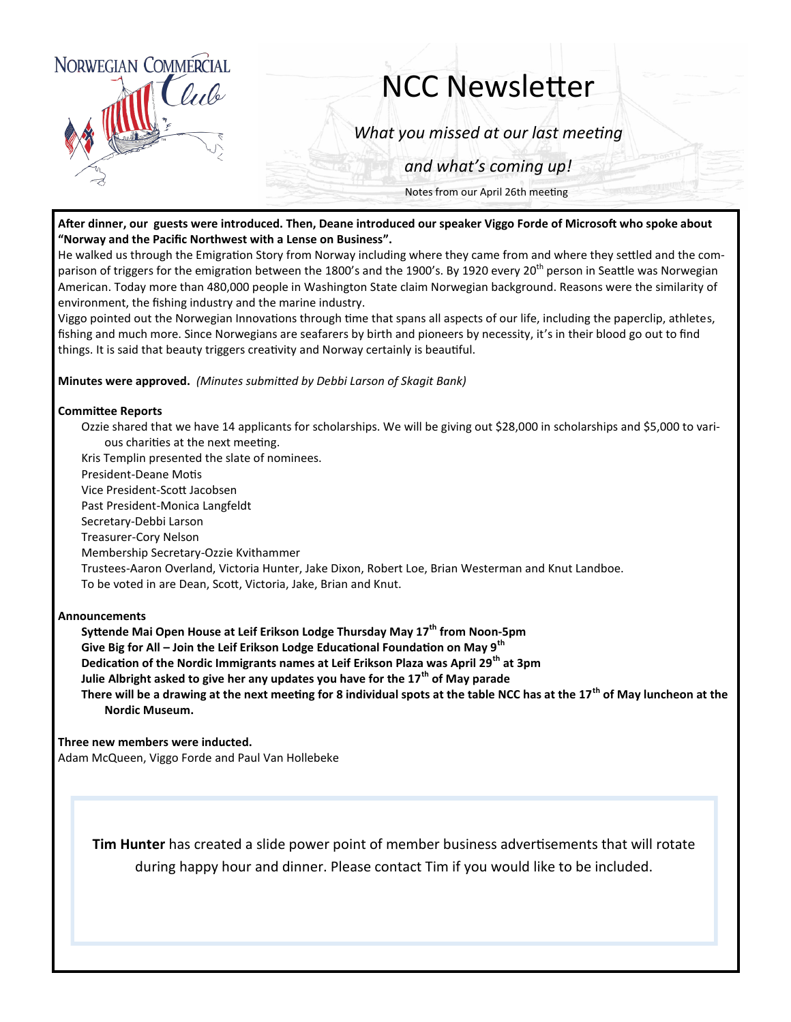

# NCC Newsletter

*What you missed at our last meeting*

*and what's coming up!*

Notes from our April 26th meeting

### **After dinner, our guests were introduced. Then, Deane introduced our speaker Viggo Forde of Microsoft who spoke about "Norway and the Pacific Northwest with a Lense on Business".**

He walked us through the Emigration Story from Norway including where they came from and where they settled and the comparison of triggers for the emigration between the 1800's and the 1900's. By 1920 every 20<sup>th</sup> person in Seattle was Norwegian American. Today more than 480,000 people in Washington State claim Norwegian background. Reasons were the similarity of environment, the fishing industry and the marine industry.

Viggo pointed out the Norwegian Innovations through time that spans all aspects of our life, including the paperclip, athletes, fishing and much more. Since Norwegians are seafarers by birth and pioneers by necessity, it's in their blood go out to find things. It is said that beauty triggers creativity and Norway certainly is beautiful.

**Minutes were approved.** *(Minutes submitted by Debbi Larson of Skagit Bank)*

### **Committee Reports**

Ozzie shared that we have 14 applicants for scholarships. We will be giving out \$28,000 in scholarships and \$5,000 to various charities at the next meeting.

Kris Templin presented the slate of nominees.

President-Deane Motis

Vice President-Scott Jacobsen

Past President-Monica Langfeldt

Secretary-Debbi Larson

Treasurer-Cory Nelson

Membership Secretary-Ozzie Kvithammer

Trustees-Aaron Overland, Victoria Hunter, Jake Dixon, Robert Loe, Brian Westerman and Knut Landboe.

To be voted in are Dean, Scott, Victoria, Jake, Brian and Knut.

#### **Announcements**

**Syttende Mai Open House at Leif Erikson Lodge Thursday May 17th from Noon-5pm Give Big for All – Join the Leif Erikson Lodge Educational Foundation on May 9th Dedication of the Nordic Immigrants names at Leif Erikson Plaza was April 29th at 3pm Julie Albright asked to give her any updates you have for the 17th of May parade There will be a drawing at the next meeting for 8 individual spots at the table NCC has at the 17th of May luncheon at the Nordic Museum.**

**Three new members were inducted.**

Adam McQueen, Viggo Forde and Paul Van Hollebeke

**Tim Hunter** has created a slide power point of member business advertisements that will rotate during happy hour and dinner. Please contact Tim if you would like to be included.